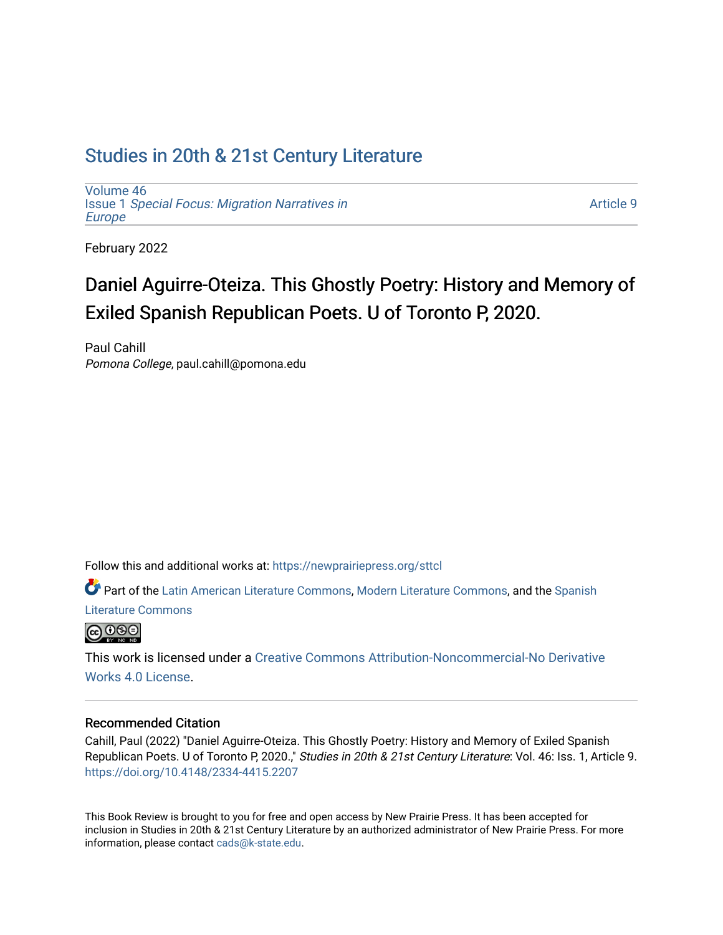## [Studies in 20th & 21st Century Literature](https://newprairiepress.org/sttcl)

[Volume 46](https://newprairiepress.org/sttcl/vol46) Issue 1 [Special Focus: Migration Narratives in](https://newprairiepress.org/sttcl/vol46/iss1) [Europe](https://newprairiepress.org/sttcl/vol46/iss1)

[Article 9](https://newprairiepress.org/sttcl/vol46/iss1/9) 

February 2022

# Daniel Aguirre-Oteiza. This Ghostly Poetry: History and Memory of Exiled Spanish Republican Poets. U of Toronto P, 2020.

Paul Cahill Pomona College, paul.cahill@pomona.edu

Follow this and additional works at: [https://newprairiepress.org/sttcl](https://newprairiepress.org/sttcl?utm_source=newprairiepress.org%2Fsttcl%2Fvol46%2Fiss1%2F9&utm_medium=PDF&utm_campaign=PDFCoverPages) 

Part of the [Latin American Literature Commons,](http://network.bepress.com/hgg/discipline/547?utm_source=newprairiepress.org%2Fsttcl%2Fvol46%2Fiss1%2F9&utm_medium=PDF&utm_campaign=PDFCoverPages) [Modern Literature Commons,](http://network.bepress.com/hgg/discipline/1050?utm_source=newprairiepress.org%2Fsttcl%2Fvol46%2Fiss1%2F9&utm_medium=PDF&utm_campaign=PDFCoverPages) and the [Spanish](http://network.bepress.com/hgg/discipline/550?utm_source=newprairiepress.org%2Fsttcl%2Fvol46%2Fiss1%2F9&utm_medium=PDF&utm_campaign=PDFCoverPages)  [Literature Commons](http://network.bepress.com/hgg/discipline/550?utm_source=newprairiepress.org%2Fsttcl%2Fvol46%2Fiss1%2F9&utm_medium=PDF&utm_campaign=PDFCoverPages) 



This work is licensed under a [Creative Commons Attribution-Noncommercial-No Derivative](https://creativecommons.org/licenses/by-nc-nd/4.0/)  [Works 4.0 License](https://creativecommons.org/licenses/by-nc-nd/4.0/).

#### Recommended Citation

Cahill, Paul (2022) "Daniel Aguirre-Oteiza. This Ghostly Poetry: History and Memory of Exiled Spanish Republican Poets. U of Toronto P, 2020.," Studies in 20th & 21st Century Literature: Vol. 46: Iss. 1, Article 9. <https://doi.org/10.4148/2334-4415.2207>

This Book Review is brought to you for free and open access by New Prairie Press. It has been accepted for inclusion in Studies in 20th & 21st Century Literature by an authorized administrator of New Prairie Press. For more information, please contact [cads@k-state.edu](mailto:cads@k-state.edu).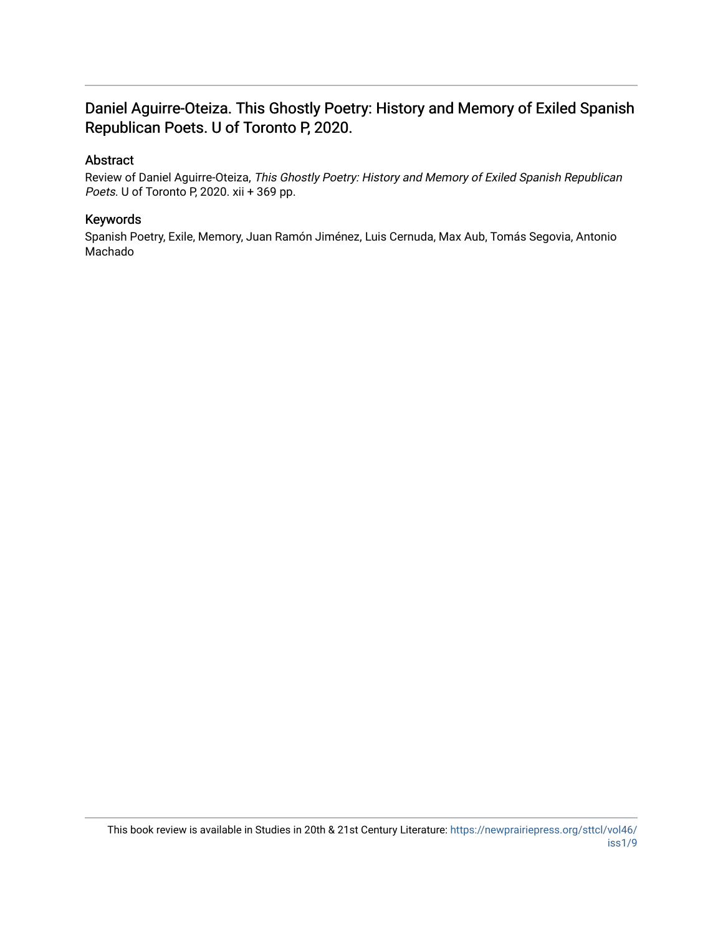### Daniel Aguirre-Oteiza. This Ghostly Poetry: History and Memory of Exiled Spanish Republican Poets. U of Toronto P, 2020.

### Abstract

Review of Daniel Aguirre-Oteiza, This Ghostly Poetry: History and Memory of Exiled Spanish Republican Poets. U of Toronto P, 2020. xii + 369 pp.

### Keywords

Spanish Poetry, Exile, Memory, Juan Ramón Jiménez, Luis Cernuda, Max Aub, Tomás Segovia, Antonio Machado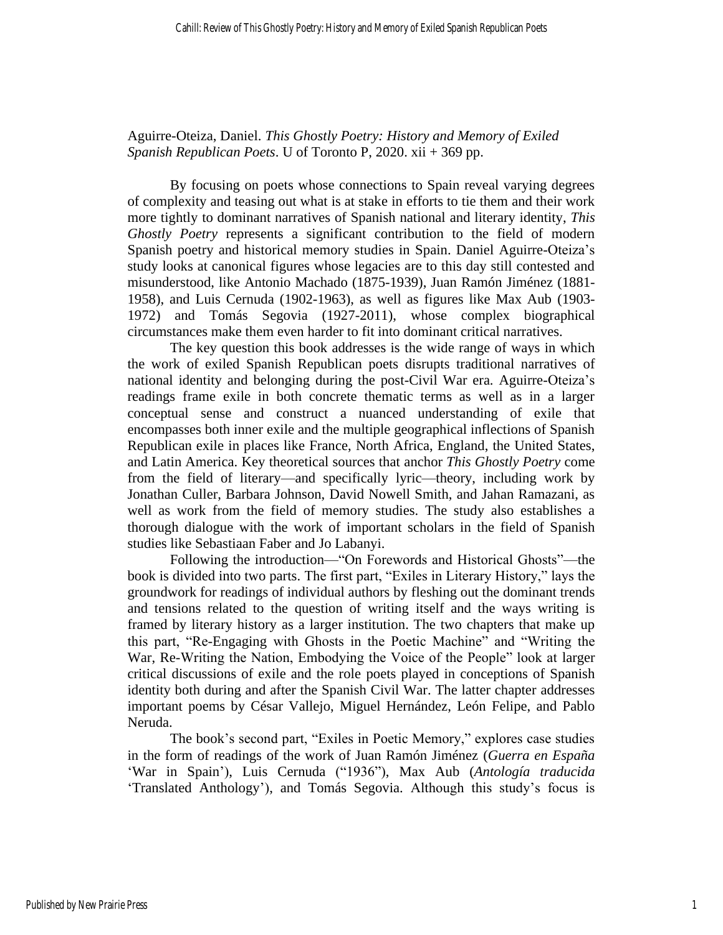Aguirre-Oteiza, Daniel. *This Ghostly Poetry: History and Memory of Exiled Spanish Republican Poets*. U of Toronto P, 2020. xii + 369 pp.

By focusing on poets whose connections to Spain reveal varying degrees of complexity and teasing out what is at stake in efforts to tie them and their work more tightly to dominant narratives of Spanish national and literary identity, *This Ghostly Poetry* represents a significant contribution to the field of modern Spanish poetry and historical memory studies in Spain. Daniel Aguirre-Oteiza's study looks at canonical figures whose legacies are to this day still contested and misunderstood, like Antonio Machado (1875-1939), Juan Ramón Jiménez (1881- 1958), and Luis Cernuda (1902-1963), as well as figures like Max Aub (1903- 1972) and Tomás Segovia (1927-2011), whose complex biographical circumstances make them even harder to fit into dominant critical narratives.

The key question this book addresses is the wide range of ways in which the work of exiled Spanish Republican poets disrupts traditional narratives of national identity and belonging during the post-Civil War era. Aguirre-Oteiza's readings frame exile in both concrete thematic terms as well as in a larger conceptual sense and construct a nuanced understanding of exile that encompasses both inner exile and the multiple geographical inflections of Spanish Republican exile in places like France, North Africa, England, the United States, and Latin America. Key theoretical sources that anchor *This Ghostly Poetry* come from the field of literary—and specifically lyric—theory, including work by Jonathan Culler, Barbara Johnson, David Nowell Smith, and Jahan Ramazani, as well as work from the field of memory studies. The study also establishes a thorough dialogue with the work of important scholars in the field of Spanish studies like Sebastiaan Faber and Jo Labanyi.

Following the introduction—"On Forewords and Historical Ghosts"—the book is divided into two parts. The first part, "Exiles in Literary History," lays the groundwork for readings of individual authors by fleshing out the dominant trends and tensions related to the question of writing itself and the ways writing is framed by literary history as a larger institution. The two chapters that make up this part, "Re-Engaging with Ghosts in the Poetic Machine" and "Writing the War, Re-Writing the Nation, Embodying the Voice of the People" look at larger critical discussions of exile and the role poets played in conceptions of Spanish identity both during and after the Spanish Civil War. The latter chapter addresses important poems by César Vallejo, Miguel Hernández, León Felipe, and Pablo Neruda.

The book's second part, "Exiles in Poetic Memory," explores case studies in the form of readings of the work of Juan Ramón Jiménez (*Guerra en España* 'War in Spain'), Luis Cernuda ("1936"), Max Aub (*Antología traducida* 'Translated Anthology'), and Tomás Segovia. Although this study's focus is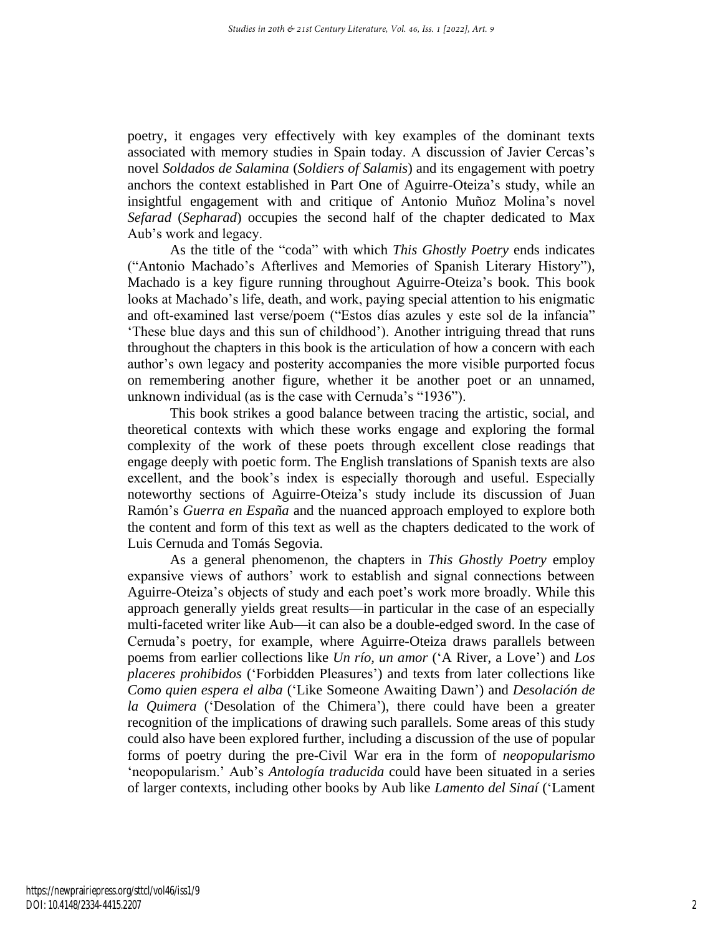poetry, it engages very effectively with key examples of the dominant texts associated with memory studies in Spain today. A discussion of Javier Cercas's novel *Soldados de Salamina* (*Soldiers of Salamis*) and its engagement with poetry anchors the context established in Part One of Aguirre-Oteiza's study, while an insightful engagement with and critique of Antonio Muñoz Molina's novel *Sefarad* (*Sepharad*) occupies the second half of the chapter dedicated to Max Aub's work and legacy.

As the title of the "coda" with which *This Ghostly Poetry* ends indicates ("Antonio Machado's Afterlives and Memories of Spanish Literary History"), Machado is a key figure running throughout Aguirre-Oteiza's book. This book looks at Machado's life, death, and work, paying special attention to his enigmatic and oft-examined last verse/poem ("Estos días azules y este sol de la infancia" 'These blue days and this sun of childhood'). Another intriguing thread that runs throughout the chapters in this book is the articulation of how a concern with each author's own legacy and posterity accompanies the more visible purported focus on remembering another figure, whether it be another poet or an unnamed, unknown individual (as is the case with Cernuda's "1936").

This book strikes a good balance between tracing the artistic, social, and theoretical contexts with which these works engage and exploring the formal complexity of the work of these poets through excellent close readings that engage deeply with poetic form. The English translations of Spanish texts are also excellent, and the book's index is especially thorough and useful. Especially noteworthy sections of Aguirre-Oteiza's study include its discussion of Juan Ramón's *Guerra en España* and the nuanced approach employed to explore both the content and form of this text as well as the chapters dedicated to the work of Luis Cernuda and Tomás Segovia.

As a general phenomenon, the chapters in *This Ghostly Poetry* employ expansive views of authors' work to establish and signal connections between Aguirre-Oteiza's objects of study and each poet's work more broadly. While this approach generally yields great results—in particular in the case of an especially multi-faceted writer like Aub—it can also be a double-edged sword. In the case of Cernuda's poetry, for example, where Aguirre-Oteiza draws parallels between poems from earlier collections like *Un río, un amor* ('A River, a Love') and *Los placeres prohibidos* ('Forbidden Pleasures') and texts from later collections like *Como quien espera el alba* ('Like Someone Awaiting Dawn') and *Desolación de la Quimera* ('Desolation of the Chimera'), there could have been a greater recognition of the implications of drawing such parallels. Some areas of this study could also have been explored further, including a discussion of the use of popular forms of poetry during the pre-Civil War era in the form of *neopopularismo* 'neopopularism.' Aub's *Antología traducida* could have been situated in a series of larger contexts, including other books by Aub like *Lamento del Sinaí* ('Lament